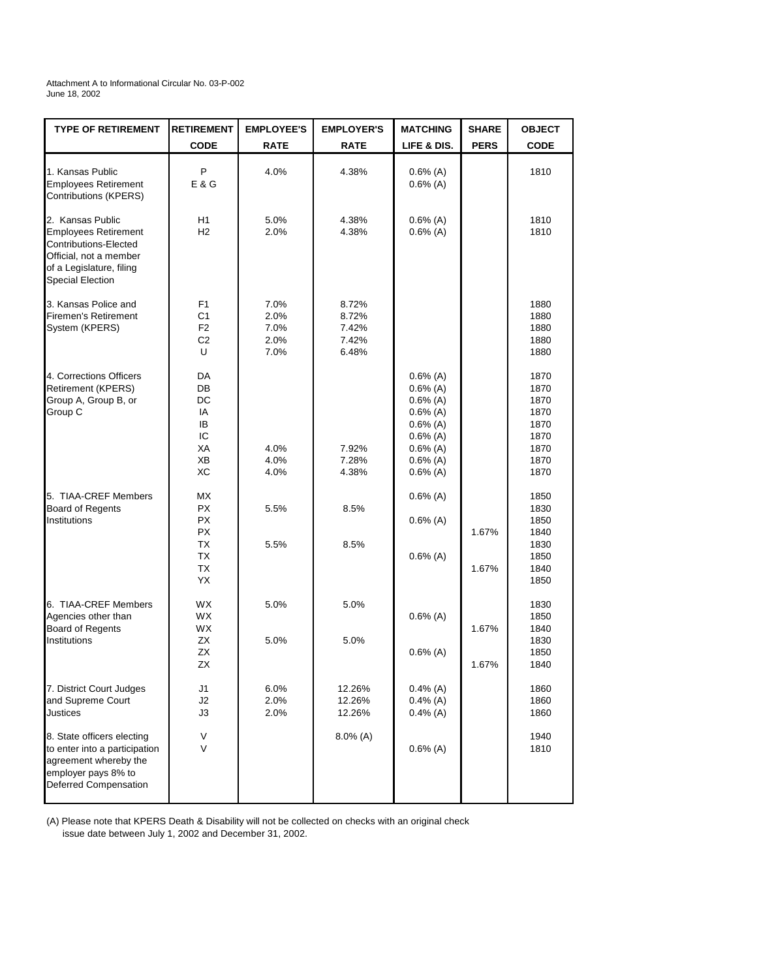Attachment A to Informational Circular No. 03-P-002 June 18, 2002

| <b>TYPE OF RETIREMENT</b>                                                                                                                                 | <b>RETIREMENT</b>                                             | <b>EMPLOYEE'S</b>                    | <b>EMPLOYER'S</b>                         | <b>MATCHING</b>                                                                                                              | <b>SHARE</b>   | <b>OBJECT</b>                                                        |
|-----------------------------------------------------------------------------------------------------------------------------------------------------------|---------------------------------------------------------------|--------------------------------------|-------------------------------------------|------------------------------------------------------------------------------------------------------------------------------|----------------|----------------------------------------------------------------------|
|                                                                                                                                                           | <b>CODE</b>                                                   | <b>RATE</b>                          | <b>RATE</b>                               | LIFE & DIS.                                                                                                                  | <b>PERS</b>    | <b>CODE</b>                                                          |
| 1. Kansas Public<br><b>Employees Retirement</b><br>Contributions (KPERS)                                                                                  | Ρ<br>E & G                                                    | 4.0%                                 | 4.38%                                     | $0.6%$ (A)<br>$0.6%$ (A)                                                                                                     |                | 1810                                                                 |
| 2. Kansas Public<br><b>Employees Retirement</b><br>Contributions-Elected<br>Official, not a member<br>of a Legislature, filing<br><b>Special Election</b> | H1<br>H2                                                      | 5.0%<br>2.0%                         | 4.38%<br>4.38%                            | $0.6%$ (A)<br>$0.6%$ (A)                                                                                                     |                | 1810<br>1810                                                         |
| 3. Kansas Police and<br><b>Firemen's Retirement</b><br>System (KPERS)                                                                                     | F1<br>C <sub>1</sub><br>F <sub>2</sub><br>C <sub>2</sub><br>U | 7.0%<br>2.0%<br>7.0%<br>2.0%<br>7.0% | 8.72%<br>8.72%<br>7.42%<br>7.42%<br>6.48% |                                                                                                                              |                | 1880<br>1880<br>1880<br>1880<br>1880                                 |
| 4. Corrections Officers<br><b>Retirement (KPERS)</b><br>Group A, Group B, or<br>Group C                                                                   | DA<br>DB<br>DC<br>IA<br>IB<br>IC<br>ХA<br>ХB<br>ХC            | 4.0%<br>4.0%<br>4.0%                 | 7.92%<br>7.28%<br>4.38%                   | $0.6\%$ (A)<br>$0.6%$ (A)<br>$0.6\%$ (A)<br>$0.6%$ (A)<br>$0.6%$ (A)<br>$0.6%$ (A)<br>$0.6%$ (A)<br>$0.6%$ (A)<br>$0.6%$ (A) |                | 1870<br>1870<br>1870<br>1870<br>1870<br>1870<br>1870<br>1870<br>1870 |
| 5. TIAA-CREF Members<br><b>Board of Regents</b><br>Institutions                                                                                           | МX<br><b>PX</b><br>PX<br>PX<br>ТX<br>TX<br>TX<br>YX           | 5.5%<br>5.5%                         | 8.5%<br>8.5%                              | $0.6%$ (A)<br>$0.6%$ (A)<br>$0.6%$ (A)                                                                                       | 1.67%<br>1.67% | 1850<br>1830<br>1850<br>1840<br>1830<br>1850<br>1840<br>1850         |
| 6. TIAA-CREF Members<br>Agencies other than<br><b>Board of Regents</b><br>Institutions                                                                    | <b>WX</b><br><b>WX</b><br><b>WX</b><br>ZX<br>ΖX<br>ZX         | 5.0%<br>5.0%                         | 5.0%<br>5.0%                              | $0.6%$ (A)<br>$0.6%$ (A)                                                                                                     | 1.67%<br>1.67% | 1830<br>1850<br>1840<br>1830<br>1850<br>1840                         |
| 7. District Court Judges<br>and Supreme Court<br><b>Justices</b>                                                                                          | J1<br>J2<br>J3                                                | 6.0%<br>2.0%<br>2.0%                 | 12.26%<br>12.26%<br>12.26%                | $0.4\%$ (A)<br>$0.4\%$ (A)<br>$0.4\%$ (A)                                                                                    |                | 1860<br>1860<br>1860                                                 |
| 8. State officers electing<br>to enter into a participation<br>agreement whereby the<br>employer pays 8% to<br>Deferred Compensation                      | V<br>V                                                        |                                      | $8.0\%$ (A)                               | $0.6%$ (A)                                                                                                                   |                | 1940<br>1810                                                         |

(A) Please note that KPERS Death & Disability will not be collected on checks with an original check issue date between July 1, 2002 and December 31, 2002.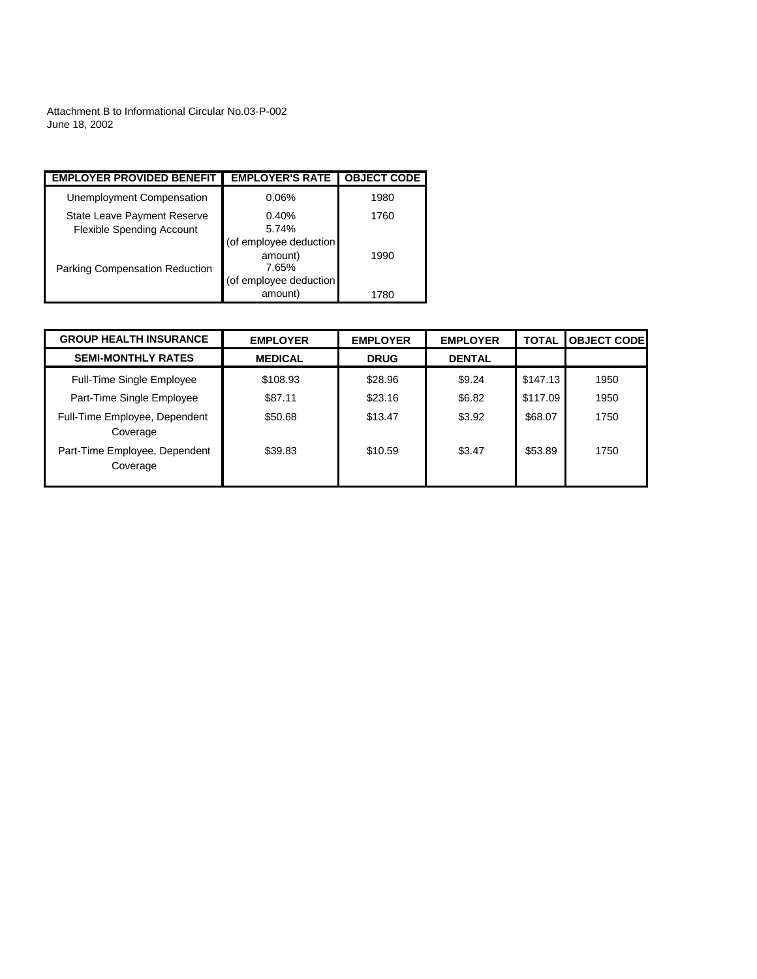Attachment B to Informational Circular No.03-P-002 June 18, 2002

| <b>EMPLOYER PROVIDED BENEFIT</b>                                | <b>EMPLOYER'S RATE</b>                                               | <b>OBJECT CODE</b> |
|-----------------------------------------------------------------|----------------------------------------------------------------------|--------------------|
| Unemployment Compensation                                       | 0.06%                                                                | 1980               |
| State Leave Payment Reserve<br><b>Flexible Spending Account</b> | 0.40%<br>5.74%                                                       | 1760               |
| <b>Parking Compensation Reduction</b>                           | (of employee deduction<br>amount)<br>7.65%<br>(of employee deduction | 1990               |
|                                                                 | amount)                                                              | (780)              |

| <b>GROUP HEALTH INSURANCE</b>             | <b>EMPLOYER</b> | <b>EMPLOYER</b> | <b>EMPLOYER</b> | <b>TOTAL</b> | <b>OBJECT CODE</b> |
|-------------------------------------------|-----------------|-----------------|-----------------|--------------|--------------------|
| <b>SEMI-MONTHLY RATES</b>                 | <b>MEDICAL</b>  | <b>DRUG</b>     | <b>DENTAL</b>   |              |                    |
| <b>Full-Time Single Employee</b>          | \$108.93        | \$28.96         | \$9.24          | \$147.13     | 1950               |
| Part-Time Single Employee                 | \$87.11         | \$23.16         | \$6.82          | \$117.09     | 1950               |
| Full-Time Employee, Dependent<br>Coverage | \$50.68         | \$13.47         | \$3.92          | \$68.07      | 1750               |
| Part-Time Employee, Dependent<br>Coverage | \$39.83         | \$10.59         | \$3.47          | \$53.89      | 1750               |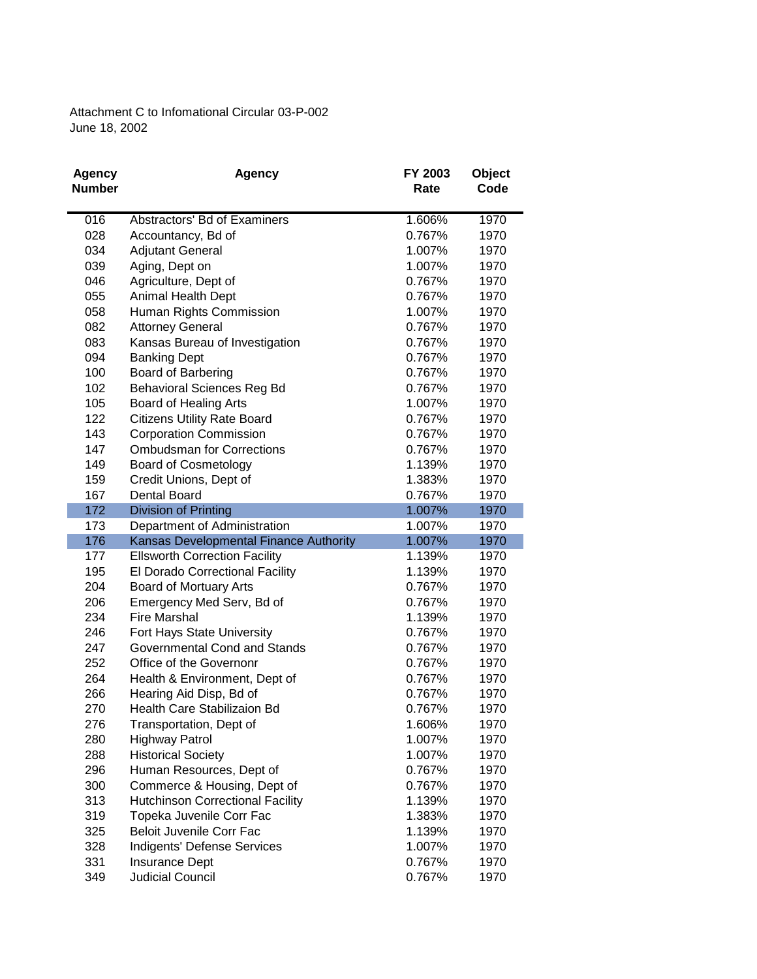Attachment C to Infomational Circular 03-P-002 June 18, 2002

| <b>Agency</b> | <b>Agency</b>                           | FY 2003 | <b>Object</b> |
|---------------|-----------------------------------------|---------|---------------|
| <b>Number</b> |                                         | Rate    | Code          |
|               |                                         |         |               |
| 016           | Abstractors' Bd of Examiners            | 1.606%  | 1970          |
| 028           | Accountancy, Bd of                      | 0.767%  | 1970          |
| 034           | <b>Adjutant General</b>                 | 1.007%  | 1970          |
| 039           | Aging, Dept on                          | 1.007%  | 1970          |
| 046           | Agriculture, Dept of                    | 0.767%  | 1970          |
| 055           | Animal Health Dept                      | 0.767%  | 1970          |
| 058           | Human Rights Commission                 | 1.007%  | 1970          |
| 082           | <b>Attorney General</b>                 | 0.767%  | 1970          |
| 083           | Kansas Bureau of Investigation          | 0.767%  | 1970          |
| 094           | <b>Banking Dept</b>                     | 0.767%  | 1970          |
| 100           | Board of Barbering                      | 0.767%  | 1970          |
| 102           | <b>Behavioral Sciences Reg Bd</b>       | 0.767%  | 1970          |
| 105           | Board of Healing Arts                   | 1.007%  | 1970          |
| 122           | <b>Citizens Utility Rate Board</b>      | 0.767%  | 1970          |
| 143           | <b>Corporation Commission</b>           | 0.767%  | 1970          |
| 147           | <b>Ombudsman for Corrections</b>        | 0.767%  | 1970          |
| 149           | <b>Board of Cosmetology</b>             | 1.139%  | 1970          |
| 159           | Credit Unions, Dept of                  | 1.383%  | 1970          |
| 167           | <b>Dental Board</b>                     | 0.767%  | 1970          |
| 172           | Division of Printing                    | 1.007%  | 1970          |
| 173           | Department of Administration            | 1.007%  | 1970          |
| 176           | Kansas Developmental Finance Authority  | 1.007%  | 1970          |
| 177           | <b>Ellsworth Correction Facility</b>    | 1.139%  | 1970          |
| 195           | El Dorado Correctional Facility         | 1.139%  | 1970          |
| 204           | Board of Mortuary Arts                  | 0.767%  | 1970          |
| 206           | Emergency Med Serv, Bd of               | 0.767%  | 1970          |
| 234           | <b>Fire Marshal</b>                     | 1.139%  | 1970          |
| 246           | Fort Hays State University              | 0.767%  | 1970          |
| 247           | Governmental Cond and Stands            | 0.767%  | 1970          |
| 252           | Office of the Governonr                 | 0.767%  | 1970          |
| 264           | Health & Environment, Dept of           | 0.767%  | 1970          |
| 266           | Hearing Aid Disp, Bd of                 | 0.767%  | 1970          |
| 270           | Health Care Stabilizaion Bd             | 0.767%  | 1970          |
| 276           | Transportation, Dept of                 | 1.606%  | 1970          |
| 280           | <b>Highway Patrol</b>                   | 1.007%  | 1970          |
| 288           | <b>Historical Society</b>               | 1.007%  | 1970          |
| 296           | Human Resources, Dept of                | 0.767%  | 1970          |
| 300           | Commerce & Housing, Dept of             | 0.767%  | 1970          |
| 313           | <b>Hutchinson Correctional Facility</b> | 1.139%  | 1970          |
| 319           | Topeka Juvenile Corr Fac                | 1.383%  | 1970          |
| 325           | Beloit Juvenile Corr Fac                | 1.139%  | 1970          |
| 328           | Indigents' Defense Services             | 1.007%  | 1970          |
| 331           | Insurance Dept                          | 0.767%  | 1970          |
| 349           | Judicial Council                        | 0.767%  | 1970          |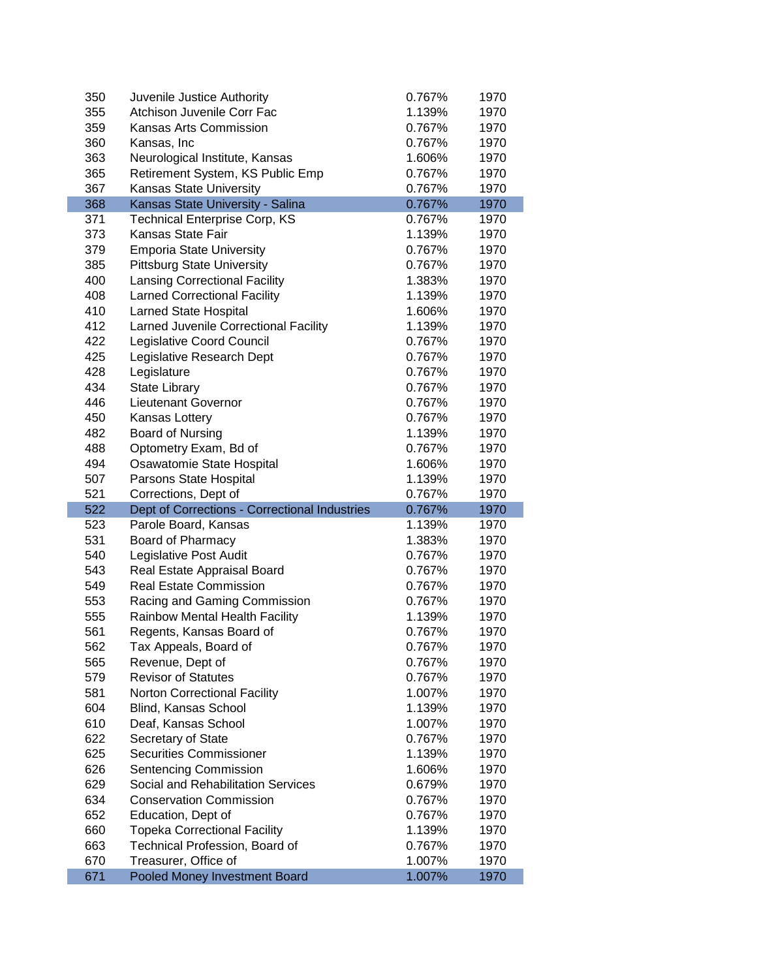| 350        | Juvenile Justice Authority                                            | 0.767%           | 1970         |
|------------|-----------------------------------------------------------------------|------------------|--------------|
| 355        | Atchison Juvenile Corr Fac                                            | 1.139%           | 1970         |
| 359        | Kansas Arts Commission                                                | 0.767%           | 1970         |
| 360        | Kansas, Inc                                                           | 0.767%           | 1970         |
| 363        | Neurological Institute, Kansas                                        | 1.606%           | 1970         |
| 365        | Retirement System, KS Public Emp                                      | 0.767%           | 1970         |
| 367        | Kansas State University                                               | 0.767%           | 1970         |
| 368        | Kansas State University - Salina                                      | 0.767%           | 1970         |
| 371        | <b>Technical Enterprise Corp, KS</b>                                  | 0.767%           | 1970         |
| 373        | <b>Kansas State Fair</b>                                              | 1.139%           | 1970         |
| 379        | <b>Emporia State University</b>                                       | 0.767%           | 1970         |
| 385        | <b>Pittsburg State University</b>                                     | 0.767%           | 1970         |
| 400        | <b>Lansing Correctional Facility</b>                                  | 1.383%           | 1970         |
| 408        | <b>Larned Correctional Facility</b>                                   | 1.139%           | 1970         |
| 410        | Larned State Hospital                                                 | 1.606%           | 1970         |
| 412        | Larned Juvenile Correctional Facility                                 | 1.139%           | 1970         |
| 422        | Legislative Coord Council                                             | 0.767%           | 1970         |
| 425        | Legislative Research Dept                                             | 0.767%           | 1970         |
| 428        | Legislature                                                           | 0.767%           | 1970         |
| 434        | <b>State Library</b>                                                  | 0.767%           | 1970         |
| 446        | <b>Lieutenant Governor</b>                                            | 0.767%           | 1970         |
| 450        | Kansas Lottery                                                        | 0.767%           | 1970         |
| 482        | Board of Nursing                                                      | 1.139%           | 1970         |
| 488        | Optometry Exam, Bd of                                                 | 0.767%           | 1970         |
| 494        | Osawatomie State Hospital                                             | 1.606%           | 1970         |
| 507        | Parsons State Hospital                                                | 1.139%           | 1970         |
|            |                                                                       |                  |              |
|            |                                                                       |                  |              |
| 521<br>522 | Corrections, Dept of                                                  | 0.767%<br>0.767% | 1970<br>1970 |
| 523        | Dept of Corrections - Correctional Industries<br>Parole Board, Kansas | 1.139%           | 1970         |
| 531        | Board of Pharmacy                                                     | 1.383%           | 1970         |
| 540        | Legislative Post Audit                                                | 0.767%           | 1970         |
| 543        | Real Estate Appraisal Board                                           | 0.767%           | 1970         |
| 549        | <b>Real Estate Commission</b>                                         | 0.767%           | 1970         |
| 553        | Racing and Gaming Commission                                          | 0.767%           | 1970         |
| 555        | Rainbow Mental Health Facility                                        | 1.139%           | 1970         |
| 561        | Regents, Kansas Board of                                              | 0.767%           | 1970         |
| 562        | Tax Appeals, Board of                                                 | 0.767%           | 1970         |
| 565        | Revenue, Dept of                                                      | 0.767%           | 1970         |
| 579        | <b>Revisor of Statutes</b>                                            | 0.767%           | 1970         |
| 581        | <b>Norton Correctional Facility</b>                                   | 1.007%           | 1970         |
| 604        | Blind, Kansas School                                                  | 1.139%           | 1970         |
| 610        | Deaf, Kansas School                                                   | 1.007%           | 1970         |
| 622        | Secretary of State                                                    | 0.767%           | 1970         |
| 625        | <b>Securities Commissioner</b>                                        | 1.139%           | 1970         |
| 626        | Sentencing Commission                                                 | 1.606%           | 1970         |
| 629        | Social and Rehabilitation Services                                    | 0.679%           | 1970         |
| 634        | <b>Conservation Commission</b>                                        | 0.767%           | 1970         |
| 652        | Education, Dept of                                                    | 0.767%           | 1970         |
| 660        | <b>Topeka Correctional Facility</b>                                   | 1.139%           | 1970         |
| 663        | Technical Profession, Board of                                        | 0.767%           | 1970         |
| 670        | Treasurer, Office of                                                  | 1.007%           | 1970         |